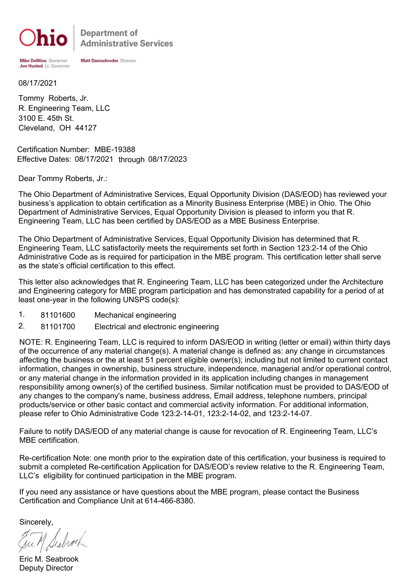

Department of **Administrative Services** 

Mike DeWine, Governor Jon Husted, Lt. Governor Matt Damschroder, Director

08/17/2021

R. Engineering Team, LLC Tommy Roberts, Jr. 3100 E. 45th St. Cleveland, OH 44127

Certification Number: MBE-19388 Effective Dates: 08/17/2021 through 08/17/2023

Dear Tommy Roberts, Jr.:

The Ohio Department of Administrative Services, Equal Opportunity Division (DAS/EOD) has reviewed your business's application to obtain certification as a Minority Business Enterprise (MBE) in Ohio. The Ohio Department of Administrative Services, Equal Opportunity Division is pleased to inform you that R. Engineering Team, LLC has been certified by DAS/EOD as a MBE Business Enterprise.

The Ohio Department of Administrative Services, Equal Opportunity Division has determined that R. Engineering Team, LLC satisfactorily meets the requirements set forth in Section 123:2-14 of the Ohio Administrative Code as is required for participation in the MBE program. This certification letter shall serve as the state's official certification to this effect.

This letter also acknowledges that R. Engineering Team, LLC has been categorized under the Architecture and Engineering category for MBE program participation and has demonstrated capability for a period of at least one-year in the following UNSPS code(s):

- 1. 81101600 Mechanical engineering
- 2. 81101700 Electrical and electronic engineering

NOTE: R. Engineering Team, LLC is required to inform DAS/EOD in writing (letter or email) within thirty days of the occurrence of any material change(s). A material change is defined as: any change in circumstances affecting the business or the at least 51 percent eligible owner(s); including but not limited to current contact information, changes in ownership, business structure, independence, managerial and/or operational control, or any material change in the information provided in its application including changes in management responsibility among owner(s) of the certified business. Similar notification must be provided to DAS/EOD of any changes to the company's name, business address, Email address, telephone numbers, principal products/service or other basic contact and commercial activity information. For additional information, please refer to Ohio Administrative Code 123:2-14-01, 123:2-14-02, and 123:2-14-07.

Failure to notify DAS/EOD of any material change is cause for revocation of R. Engineering Team, LLC's MBE certification.

Re-certification Note: one month prior to the expiration date of this certification, your business is required to submit a completed Re-certification Application for DAS/EOD's review relative to the R. Engineering Team, LLC's eligibility for continued participation in the MBE program.

If you need any assistance or have questions about the MBE program, please contact the Business Certification and Compliance Unit at 614-466-8380.

Sincerely,

Eric M. Seabrook Deputy Director